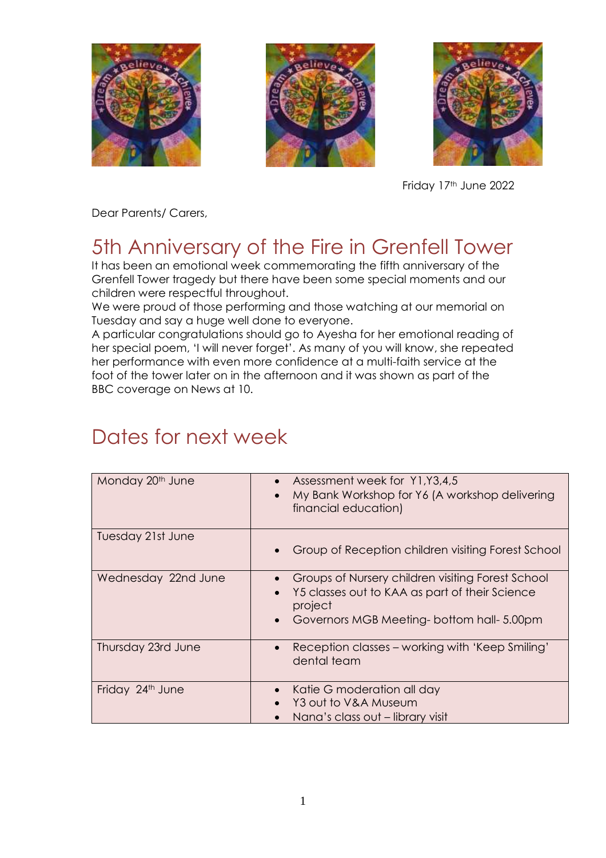





Friday 17th June 2022

Dear Parents/ Carers,

# 5th Anniversary of the Fire in Grenfell Tower

It has been an emotional week commemorating the fifth anniversary of the Grenfell Tower tragedy but there have been some special moments and our children were respectful throughout.

We were proud of those performing and those watching at our memorial on Tuesday and say a huge well done to everyone.

A particular congratulations should go to Ayesha for her emotional reading of her special poem, 'I will never forget'. As many of you will know, she repeated her performance with even more confidence at a multi-faith service at the foot of the tower later on in the afternoon and it was shown as part of the BBC coverage on News at 10.

# Dates for next week

| Monday 20 <sup>th</sup> June | Assessment week for Y1, Y3, 4, 5<br>My Bank Workshop for Y6 (A workshop delivering<br>financial education)                                                 |
|------------------------------|------------------------------------------------------------------------------------------------------------------------------------------------------------|
| Tuesday 21st June            | Group of Reception children visiting Forest School                                                                                                         |
| Wednesday 22nd June          | Groups of Nursery children visiting Forest School<br>Y5 classes out to KAA as part of their Science<br>project<br>Governors MGB Meeting-bottom hall-5.00pm |
| Thursday 23rd June           | Reception classes – working with 'Keep Smiling'<br>$\bullet$<br>dental team                                                                                |
| Friday 24th June             | Katie G moderation all day<br>Y3 out to V&A Museum<br>Nana's class out – library visit                                                                     |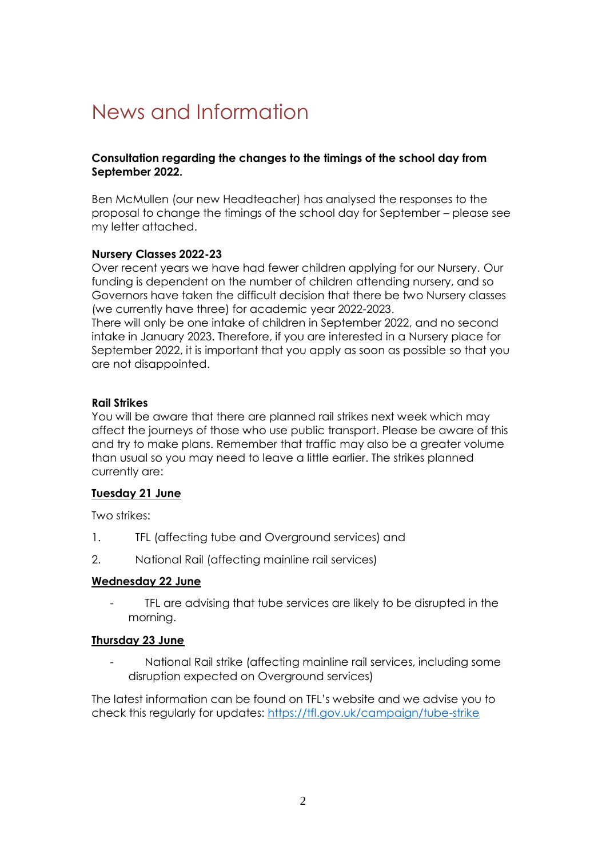# News and Information

## **Consultation regarding the changes to the timings of the school day from September 2022.**

Ben McMullen (our new Headteacher) has analysed the responses to the proposal to change the timings of the school day for September – please see my letter attached.

## **Nursery Classes 2022-23**

Over recent years we have had fewer children applying for our Nursery. Our funding is dependent on the number of children attending nursery, and so Governors have taken the difficult decision that there be two Nursery classes (we currently have three) for academic year 2022-2023.

There will only be one intake of children in September 2022, and no second intake in January 2023. Therefore, if you are interested in a Nursery place for September 2022, it is important that you apply as soon as possible so that you are not disappointed.

## **Rail Strikes**

You will be aware that there are planned rail strikes next week which may affect the journeys of those who use public transport. Please be aware of this and try to make plans. Remember that traffic may also be a greater volume than usual so you may need to leave a little earlier. The strikes planned currently are:

#### **Tuesday 21 June**

Two strikes:

- 1. TFL (affecting tube and Overground services) and
- 2. National Rail (affecting mainline rail services)

## **Wednesday 22 June**

- TFL are advising that tube services are likely to be disrupted in the morning.

## **Thursday 23 June**

- National Rail strike (affecting mainline rail services, including some disruption expected on Overground services)

The latest information can be found on TFL's website and we advise you to check this regularly for updates:<https://tfl.gov.uk/campaign/tube-strike>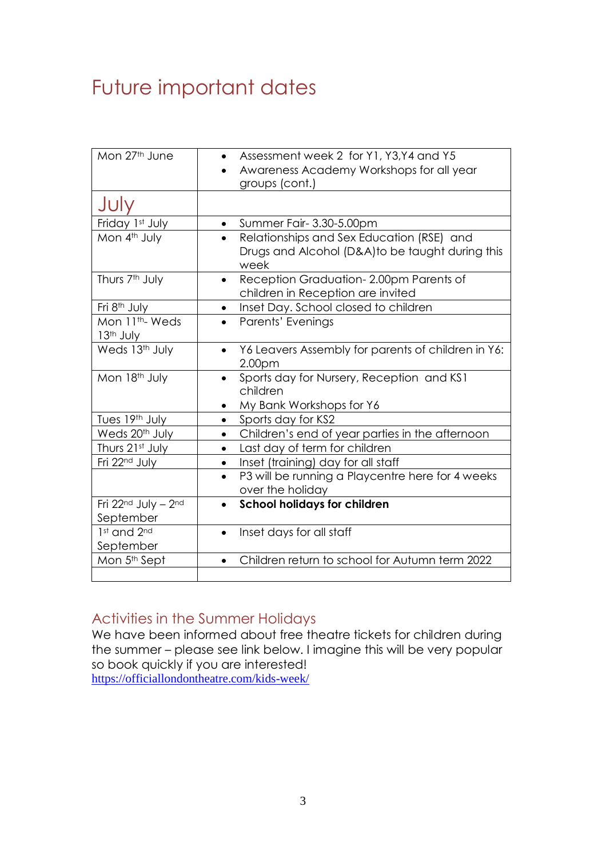# Future important dates

| Mon 27th June                                       | Assessment week 2 for Y1, Y3, Y4 and Y5<br>Awareness Academy Workshops for all year<br>groups (cont.)             |
|-----------------------------------------------------|-------------------------------------------------------------------------------------------------------------------|
| JUly                                                |                                                                                                                   |
| Friday 1st July                                     | • Summer Fair-3.30-5.00pm                                                                                         |
| Mon 4th July                                        | Relationships and Sex Education (RSE) and<br>$\bullet$<br>Drugs and Alcohol (D&A)to be taught during this<br>week |
| Thurs 7 <sup>th</sup> July                          | Reception Graduation-2.00pm Parents of<br>$\bullet$<br>children in Reception are invited                          |
| Fri 8 <sup>th</sup> July                            | Inset Day. School closed to children<br>$\bullet$                                                                 |
| Mon 11 <sup>th</sup> -Weds<br>13 <sup>th</sup> July | Parents' Evenings<br>$\bullet$                                                                                    |
| Weds 13th July                                      | Y6 Leavers Assembly for parents of children in Y6:<br>2.00 <sub>pm</sub>                                          |
| Mon 18th July                                       | Sports day for Nursery, Reception and KS1<br>children<br>My Bank Workshops for Y6<br>$\bullet$                    |
| Tues 19th July                                      | Sports day for KS2<br>$\bullet$                                                                                   |
| Weds 20 <sup>th</sup> July                          | Children's end of year parties in the afternoon<br>$\bullet$                                                      |
| Thurs 21st July                                     | Last day of term for children<br>$\bullet$                                                                        |
| Fri 22 <sup>nd</sup> July                           | Inset (training) day for all staff<br>$\bullet$                                                                   |
|                                                     | P3 will be running a Playcentre here for 4 weeks<br>$\bullet$<br>over the holiday                                 |
| Fri 22nd July - 2nd<br>September                    | <b>School holidays for children</b><br>$\bullet$                                                                  |
| 1st and 2nd<br>September                            | Inset days for all staff<br>$\bullet$                                                                             |
| Mon 5 <sup>th</sup> Sept                            | Children return to school for Autumn term 2022<br>$\bullet$                                                       |

## Activities in the Summer Holidays

We have been informed about free theatre tickets for children during the summer – please see link below. I imagine this will be very popular so book quickly if you are interested! <https://officiallondontheatre.com/kids-week/>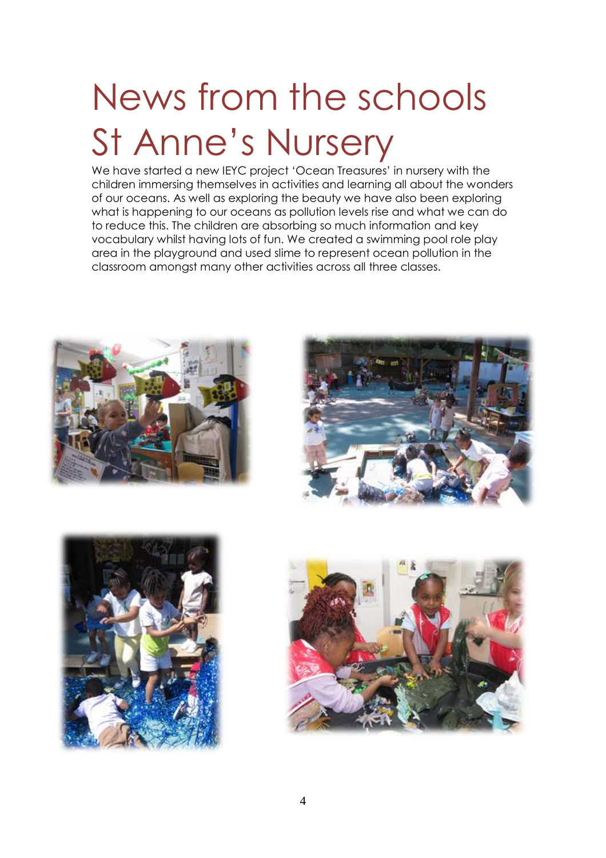# News from the schools St Anne's Nursery

We have started a new IEYC project 'Ocean Treasures' in nursery with the children immersing themselves in activities and learning all about the wonders of our oceans. As well as exploring the beauty we have also been exploring what is happening to our oceans as pollution levels rise and what we can do to reduce this. The children are absorbing so much information and key vocabulary whilst having lots of fun. We created a swimming pool role play area in the playground and used slime to represent ocean pollution in the classroom amongst many other activities across all three classes.







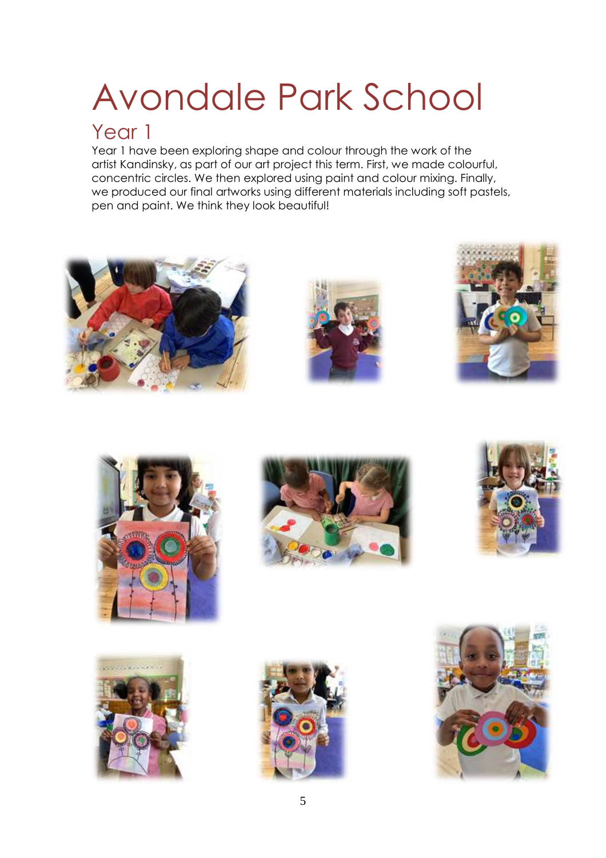# Avondale Park School

## Year 1

Year 1 have been exploring shape and colour through the work of the artist Kandinsky, as part of our art project this term. First, we made colourful, concentric circles. We then explored using paint and colour mixing. Finally, we produced our final artworks using different materials including soft pastels, pen and paint. We think they look beautiful!

















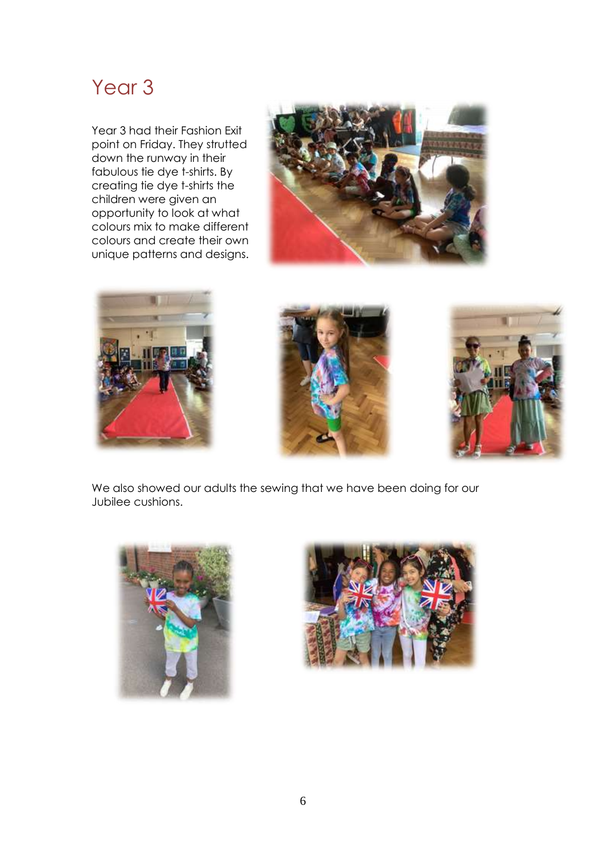## Year 3

Year 3 had their Fashion Exit point on Friday. They strutted down the runway in their fabulous tie dye t-shirts. By creating tie dye t-shirts the children were given an opportunity to look at what colours mix to make different colours and create their own unique patterns and designs.









We also showed our adults the sewing that we have been doing for our Jubilee cushions.



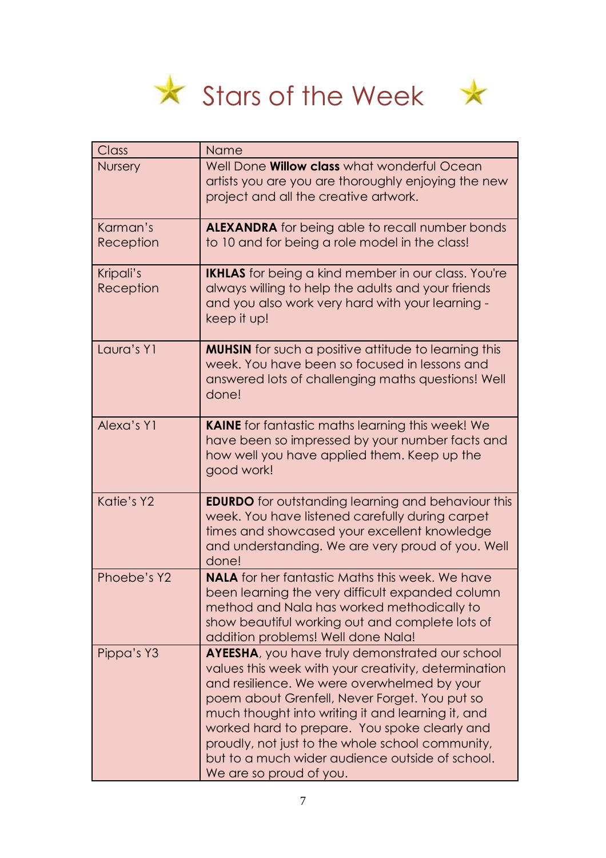



| Class                  | Name                                                                                                                                                                                                                                                                                                                                                                                                                                                    |
|------------------------|---------------------------------------------------------------------------------------------------------------------------------------------------------------------------------------------------------------------------------------------------------------------------------------------------------------------------------------------------------------------------------------------------------------------------------------------------------|
| <b>Nursery</b>         | Well Done <b>Willow class</b> what wonderful Ocean<br>artists you are you are thoroughly enjoying the new<br>project and all the creative artwork.                                                                                                                                                                                                                                                                                                      |
| Karman's<br>Reception  | <b>ALEXANDRA</b> for being able to recall number bonds<br>to 10 and for being a role model in the class!                                                                                                                                                                                                                                                                                                                                                |
| Kripali's<br>Reception | <b>IKHLAS</b> for being a kind member in our class. You're<br>always willing to help the adults and your friends<br>and you also work very hard with your learning -<br>keep it up!                                                                                                                                                                                                                                                                     |
| Laura's Y1             | <b>MUHSIN</b> for such a positive attitude to learning this<br>week. You have been so focused in lessons and<br>answered lots of challenging maths questions! Well<br>done!                                                                                                                                                                                                                                                                             |
| Alexa's Y1             | <b>KAINE</b> for fantastic maths learning this week! We<br>have been so impressed by your number facts and<br>how well you have applied them. Keep up the<br>good work!                                                                                                                                                                                                                                                                                 |
| Katie's Y2             | <b>EDURDO</b> for outstanding learning and behaviour this<br>week. You have listened carefully during carpet<br>times and showcased your excellent knowledge<br>and understanding. We are very proud of you. Well<br>done!                                                                                                                                                                                                                              |
| Phoebe's Y2            | <b>NALA</b> for her fantastic Maths this week. We have<br>been learning the very difficult expanded column<br>method and Nala has worked methodically to<br>show beautiful working out and complete lots of<br>addition problems! Well done Nala!                                                                                                                                                                                                       |
| Pippa's Y3             | <b>AYEESHA</b> , you have truly demonstrated our school<br>values this week with your creativity, determination<br>and resilience. We were overwhelmed by your<br>poem about Grenfell, Never Forget. You put so<br>much thought into writing it and learning it, and<br>worked hard to prepare. You spoke clearly and<br>proudly, not just to the whole school community,<br>but to a much wider audience outside of school.<br>We are so proud of you. |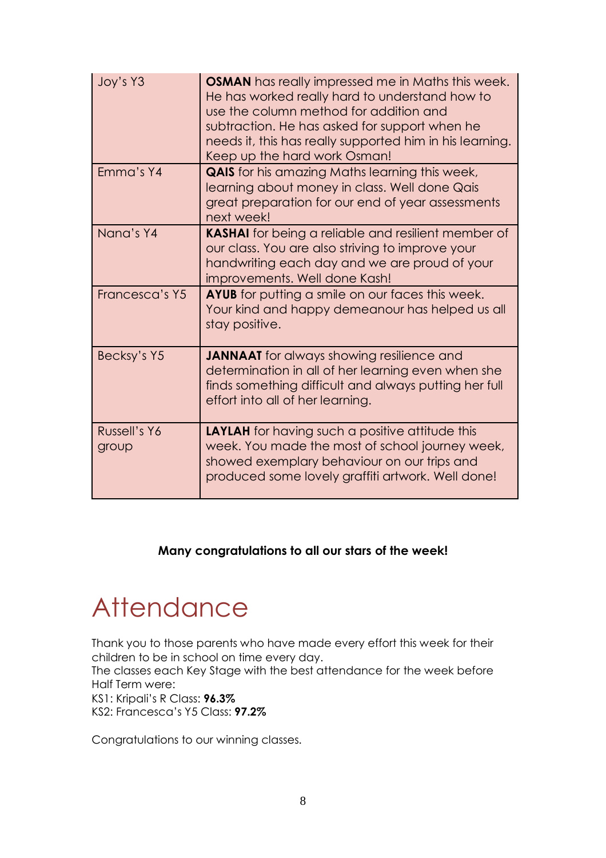| Joy's Y3              | <b>OSMAN</b> has really impressed me in Maths this week.<br>He has worked really hard to understand how to<br>use the column method for addition and<br>subtraction. He has asked for support when he<br>needs it, this has really supported him in his learning.<br>Keep up the hard work Osman! |
|-----------------------|---------------------------------------------------------------------------------------------------------------------------------------------------------------------------------------------------------------------------------------------------------------------------------------------------|
| Emma's Y4             | <b>QAIS</b> for his amazing Maths learning this week,<br>learning about money in class. Well done Qais<br>great preparation for our end of year assessments<br>next week!                                                                                                                         |
| Nana's Y4             | <b>KASHAI</b> for being a reliable and resilient member of<br>our class. You are also striving to improve your<br>handwriting each day and we are proud of your<br>improvements. Well done Kash!                                                                                                  |
| Francesca's Y5        | <b>AYUB</b> for putting a smile on our faces this week.<br>Your kind and happy demeanour has helped us all<br>stay positive.                                                                                                                                                                      |
| Becksy's Y5           | <b>JANNAAT</b> for always showing resilience and<br>determination in all of her learning even when she<br>finds something difficult and always putting her full<br>effort into all of her learning.                                                                                               |
| Russell's Y6<br>group | <b>LAYLAH</b> for having such a positive attitude this<br>week. You made the most of school journey week,<br>showed exemplary behaviour on our trips and<br>produced some lovely graffiti artwork. Well done!                                                                                     |

## **Many congratulations to all our stars of the week!**

# **Attendance**

Thank you to those parents who have made every effort this week for their children to be in school on time every day.

The classes each Key Stage with the best attendance for the week before Half Term were:

KS1: Kripali's R Class: **96.3%**

KS2: Francesca's Y5 Class: **97.2%**

Congratulations to our winning classes.